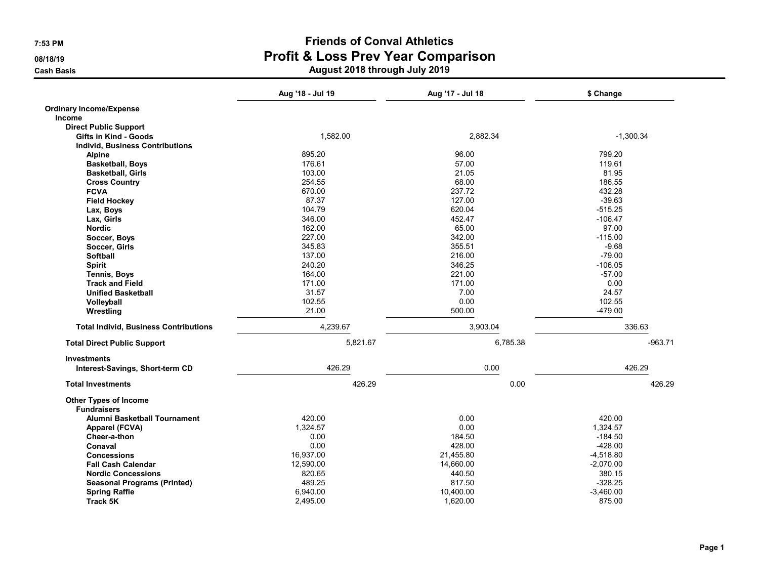|                                              | Aug '18 - Jul 19 | Aug '17 - Jul 18 | \$ Change   |
|----------------------------------------------|------------------|------------------|-------------|
| <b>Ordinary Income/Expense</b>               |                  |                  |             |
| Income                                       |                  |                  |             |
| <b>Direct Public Support</b>                 |                  |                  |             |
| Gifts in Kind - Goods                        | 1,582.00         | 2,882.34         | $-1.300.34$ |
| <b>Individ, Business Contributions</b>       |                  |                  |             |
| <b>Alpine</b>                                | 895.20           | 96.00            | 799.20      |
| <b>Basketball, Boys</b>                      | 176.61           | 57.00            | 119.61      |
| <b>Basketball, Girls</b>                     | 103.00           | 21.05            | 81.95       |
| <b>Cross Country</b>                         | 254.55           | 68.00            | 186.55      |
| <b>FCVA</b>                                  | 670.00           | 237.72           | 432.28      |
| <b>Field Hockey</b>                          | 87.37            | 127.00           | $-39.63$    |
| Lax, Boys                                    | 104.79           | 620.04           | $-515.25$   |
| Lax, Girls                                   | 346.00           | 452.47           | $-106.47$   |
| <b>Nordic</b>                                | 162.00           | 65.00            | 97.00       |
| Soccer, Boys                                 | 227.00           | 342.00           | $-115.00$   |
| Soccer, Girls                                | 345.83           | 355.51           | $-9.68$     |
| <b>Softball</b>                              | 137.00           | 216.00           | $-79.00$    |
| <b>Spirit</b>                                | 240.20           | 346.25           | $-106.05$   |
| <b>Tennis, Boys</b>                          | 164.00           | 221.00           | $-57.00$    |
| <b>Track and Field</b>                       | 171.00           | 171.00           | 0.00        |
| <b>Unified Basketball</b>                    | 31.57            | 7.00             | 24.57       |
| Volleyball                                   | 102.55           | 0.00             | 102.55      |
| Wrestling                                    | 21.00            | 500.00           | $-479.00$   |
| <b>Total Individ, Business Contributions</b> | 4,239.67         | 3,903.04         | 336.63      |
| <b>Total Direct Public Support</b>           | 5,821.67         | 6,785.38         | $-963.71$   |
| <b>Investments</b>                           |                  |                  |             |
| Interest-Savings, Short-term CD              | 426.29           | 0.00             | 426.29      |
| <b>Total Investments</b>                     | 426.29           | 0.00             | 426.29      |
| <b>Other Types of Income</b>                 |                  |                  |             |
| <b>Fundraisers</b>                           |                  |                  |             |
| Alumni Basketball Tournament                 | 420.00           | 0.00             | 420.00      |
| Apparel (FCVA)                               | 1,324.57         | 0.00             | 1,324.57    |
| Cheer-a-thon                                 | 0.00             | 184.50           | $-184.50$   |
| Conaval                                      | 0.00             | 428.00           | $-428.00$   |
| <b>Concessions</b>                           | 16,937.00        | 21,455.80        | $-4,518.80$ |
| <b>Fall Cash Calendar</b>                    | 12,590.00        | 14,660.00        | $-2,070.00$ |
| <b>Nordic Concessions</b>                    | 820.65           | 440.50           | 380.15      |
| <b>Seasonal Programs (Printed)</b>           | 489.25           | 817.50           | $-328.25$   |
| <b>Spring Raffle</b>                         | 6,940.00         | 10,400.00        | $-3,460.00$ |
| <b>Track 5K</b>                              | 2,495.00         | 1,620.00         | 875.00      |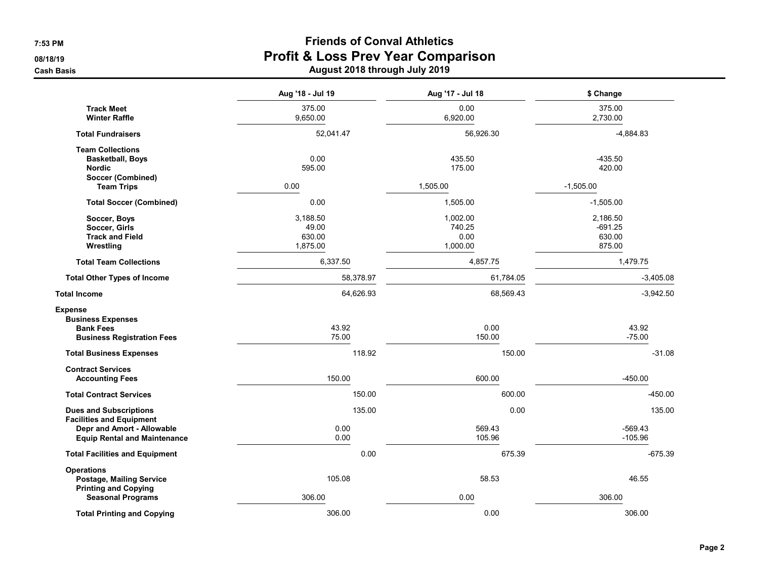|                                                                                                                                       | Aug '18 - Jul 19                        | Aug '17 - Jul 18                       | \$ Change                                 |
|---------------------------------------------------------------------------------------------------------------------------------------|-----------------------------------------|----------------------------------------|-------------------------------------------|
| <b>Track Meet</b><br><b>Winter Raffle</b>                                                                                             | 375.00<br>9,650.00                      | 0.00<br>6,920.00                       | 375.00<br>2,730.00                        |
| <b>Total Fundraisers</b>                                                                                                              | 52,041.47                               | 56,926.30                              | $-4,884.83$                               |
| <b>Team Collections</b><br><b>Basketball, Boys</b><br><b>Nordic</b>                                                                   | 0.00<br>595.00                          | 435.50<br>175.00                       | $-435.50$<br>420.00                       |
| Soccer (Combined)<br><b>Team Trips</b>                                                                                                | 0.00                                    | 1,505.00                               | $-1,505.00$                               |
| <b>Total Soccer (Combined)</b>                                                                                                        | 0.00                                    | 1,505.00                               | $-1,505.00$                               |
| Soccer, Boys<br>Soccer, Girls<br><b>Track and Field</b><br>Wrestling                                                                  | 3,188.50<br>49.00<br>630.00<br>1,875.00 | 1,002.00<br>740.25<br>0.00<br>1,000.00 | 2,186.50<br>$-691.25$<br>630.00<br>875.00 |
| <b>Total Team Collections</b>                                                                                                         | 6,337.50                                | 4,857.75                               | 1,479.75                                  |
| <b>Total Other Types of Income</b>                                                                                                    | 58,378.97                               | 61,784.05                              | $-3,405.08$                               |
| <b>Total Income</b>                                                                                                                   | 64,626.93                               | 68,569.43                              | $-3,942.50$                               |
| <b>Expense</b><br><b>Business Expenses</b><br><b>Bank Fees</b><br><b>Business Registration Fees</b>                                   | 43.92<br>75.00                          | 0.00<br>150.00                         | 43.92<br>$-75.00$                         |
| <b>Total Business Expenses</b>                                                                                                        | 118.92                                  | 150.00                                 | $-31.08$                                  |
| <b>Contract Services</b><br><b>Accounting Fees</b>                                                                                    | 150.00                                  | 600.00                                 | $-450.00$                                 |
| <b>Total Contract Services</b>                                                                                                        | 150.00                                  | 600.00                                 | $-450.00$                                 |
| <b>Dues and Subscriptions</b><br><b>Facilities and Equipment</b><br>Depr and Amort - Allowable<br><b>Equip Rental and Maintenance</b> | 135.00<br>0.00<br>0.00                  | 0.00<br>569.43<br>105.96               | 135.00<br>$-569.43$<br>$-105.96$          |
| <b>Total Facilities and Equipment</b>                                                                                                 | 0.00                                    | 675.39                                 | $-675.39$                                 |
| <b>Operations</b><br>Postage, Mailing Service<br><b>Printing and Copying</b>                                                          | 105.08                                  | 58.53                                  | 46.55                                     |
| <b>Seasonal Programs</b>                                                                                                              | 306.00                                  | 0.00                                   | 306.00                                    |
| <b>Total Printing and Copying</b>                                                                                                     | 306.00                                  | 0.00                                   | 306.00                                    |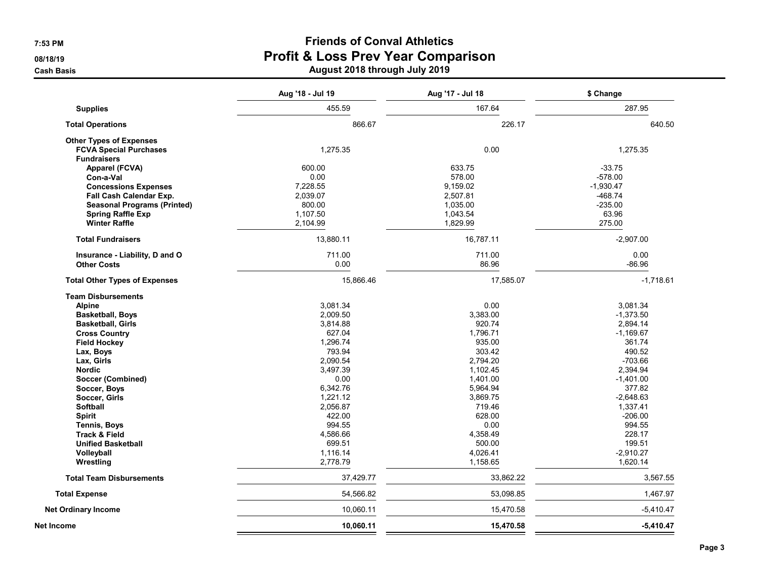# 7:53 PM Friends of Conval Athletics 08/18/19 08/18/19 Externe the cash Basis Cash Basis Cash Basis Cash Basis Cash Basis Cash Basis Cash Basis Cash Basis Cash Basis Cash Basis Cash Basis Cash Basis Cash Basis Cash Basis Cash Basis Cash Basis Cash Basis Cash Basis Cash Basis C

|                                      | Aug '18 - Jul 19 | Aug '17 - Jul 18 | \$ Change   |
|--------------------------------------|------------------|------------------|-------------|
| <b>Supplies</b>                      | 455.59           | 167.64           | 287.95      |
| <b>Total Operations</b>              | 866.67           | 226.17           | 640.50      |
| <b>Other Types of Expenses</b>       |                  |                  |             |
| <b>FCVA Special Purchases</b>        | 1,275.35         | 0.00             | 1,275.35    |
| <b>Fundraisers</b>                   |                  |                  |             |
| Apparel (FCVA)                       | 600.00           | 633.75           | $-33.75$    |
| Con-a-Val                            | 0.00             | 578.00           | $-578.00$   |
| <b>Concessions Expenses</b>          | 7,228.55         | 9,159.02         | $-1,930.47$ |
| Fall Cash Calendar Exp.              | 2,039.07         | 2,507.81         | $-468.74$   |
| <b>Seasonal Programs (Printed)</b>   | 800.00           | 1,035.00         | $-235.00$   |
| <b>Spring Raffle Exp</b>             | 1,107.50         | 1,043.54         | 63.96       |
| <b>Winter Raffle</b>                 | 2,104.99         | 1,829.99         | 275.00      |
| <b>Total Fundraisers</b>             | 13,880.11        | 16,787.11        | $-2,907.00$ |
| Insurance - Liability, D and O       | 711.00           | 711.00           | 0.00        |
| <b>Other Costs</b>                   | 0.00             | 86.96            | $-86.96$    |
| <b>Total Other Types of Expenses</b> | 15,866.46        | 17,585.07        | $-1,718.61$ |
| <b>Team Disbursements</b>            |                  |                  |             |
| <b>Alpine</b>                        | 3,081.34         | 0.00             | 3,081.34    |
| <b>Basketball, Boys</b>              | 2,009.50         | 3,383.00         | $-1,373.50$ |
| <b>Basketball, Girls</b>             | 3,814.88         | 920.74           | 2,894.14    |
| <b>Cross Country</b>                 | 627.04           | 1,796.71         | $-1,169.67$ |
| <b>Field Hockey</b>                  | 1,296.74         | 935.00           | 361.74      |
| Lax, Boys                            | 793.94           | 303.42           | 490.52      |
| Lax, Girls                           | 2,090.54         | 2,794.20         | $-703.66$   |
| <b>Nordic</b>                        | 3,497.39         | 1,102.45         | 2,394.94    |
| Soccer (Combined)                    | 0.00             | 1,401.00         | $-1,401.00$ |
| Soccer, Boys                         | 6,342.76         | 5,964.94         | 377.82      |
| Soccer, Girls                        | 1,221.12         | 3,869.75         | $-2,648.63$ |
| Softball                             | 2,056.87         | 719.46           | 1,337.41    |
| <b>Spirit</b>                        | 422.00           | 628.00           | $-206.00$   |
| <b>Tennis, Boys</b>                  | 994.55           | 0.00             | 994.55      |
| <b>Track &amp; Field</b>             | 4,586.66         | 4,358.49         | 228.17      |
| <b>Unified Basketball</b>            | 699.51           | 500.00           | 199.51      |
| Volleyball                           | 1,116.14         | 4,026.41         | $-2,910.27$ |
| Wrestling                            | 2,778.79         | 1,158.65         | 1,620.14    |
| <b>Total Team Disbursements</b>      | 37,429.77        | 33,862.22        | 3,567.55    |
| <b>Total Expense</b>                 | 54,566.82        | 53,098.85        | 1,467.97    |
| <b>Net Ordinary Income</b>           | 10,060.11        | 15,470.58        | $-5,410.47$ |
| Net Income                           | 10.060.11        | 15,470.58        | $-5.410.47$ |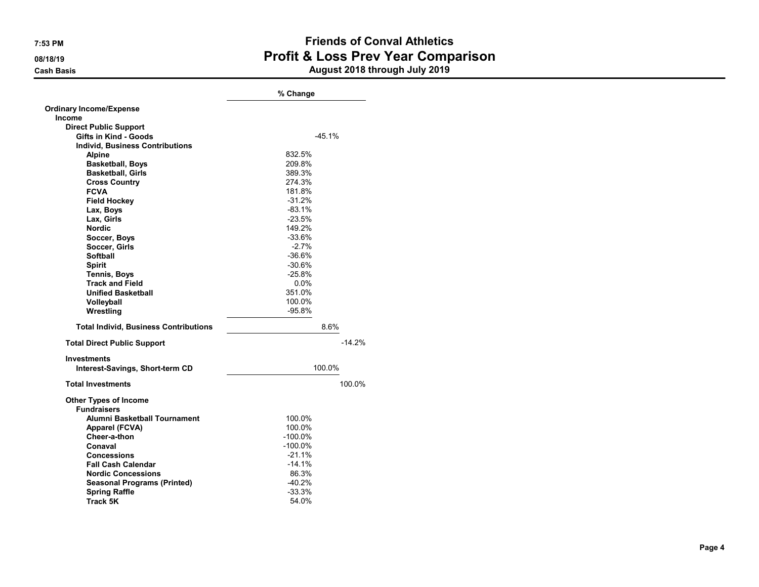|                                              | % Change  |          |  |
|----------------------------------------------|-----------|----------|--|
| <b>Ordinary Income/Expense</b>               |           |          |  |
| <b>Income</b>                                |           |          |  |
| <b>Direct Public Support</b>                 |           |          |  |
| <b>Gifts in Kind - Goods</b>                 | $-45.1%$  |          |  |
| <b>Individ. Business Contributions</b>       |           |          |  |
| <b>Alpine</b>                                | 832.5%    |          |  |
| <b>Basketball, Boys</b>                      | 209.8%    |          |  |
| <b>Basketball, Girls</b>                     | 389.3%    |          |  |
| <b>Cross Country</b>                         | 274.3%    |          |  |
| <b>FCVA</b>                                  | 181.8%    |          |  |
| <b>Field Hockey</b>                          | $-31.2%$  |          |  |
| Lax, Boys                                    | $-83.1%$  |          |  |
| Lax. Girls                                   | $-23.5%$  |          |  |
| <b>Nordic</b>                                | 149.2%    |          |  |
| Soccer, Boys                                 | $-33.6%$  |          |  |
| Soccer, Girls                                | $-2.7%$   |          |  |
| <b>Softball</b>                              | $-36.6%$  |          |  |
| <b>Spirit</b>                                | $-30.6%$  |          |  |
| <b>Tennis, Boys</b>                          | $-25.8%$  |          |  |
| <b>Track and Field</b>                       | $0.0\%$   |          |  |
| <b>Unified Basketball</b>                    | 351.0%    |          |  |
| Volleyball                                   | 100.0%    |          |  |
| Wrestling                                    | $-95.8%$  |          |  |
| <b>Total Individ, Business Contributions</b> | 8.6%      |          |  |
| <b>Total Direct Public Support</b>           |           | $-14.2%$ |  |
| <b>Investments</b>                           |           |          |  |
| Interest-Savings, Short-term CD              | 100.0%    |          |  |
| <b>Total Investments</b>                     |           | 100.0%   |  |
| <b>Other Types of Income</b>                 |           |          |  |
| <b>Fundraisers</b>                           |           |          |  |
| Alumni Basketball Tournament                 | 100.0%    |          |  |
| Apparel (FCVA)                               | 100.0%    |          |  |
| Cheer-a-thon                                 | $-100.0%$ |          |  |
| Conaval                                      | -100.0%   |          |  |
| <b>Concessions</b>                           | $-21.1%$  |          |  |
| <b>Fall Cash Calendar</b>                    | $-14.1%$  |          |  |
| <b>Nordic Concessions</b>                    | 86.3%     |          |  |
| <b>Seasonal Programs (Printed)</b>           | $-40.2%$  |          |  |
| <b>Spring Raffle</b>                         | -33.3%    |          |  |
| Track 5K                                     | 54.0%     |          |  |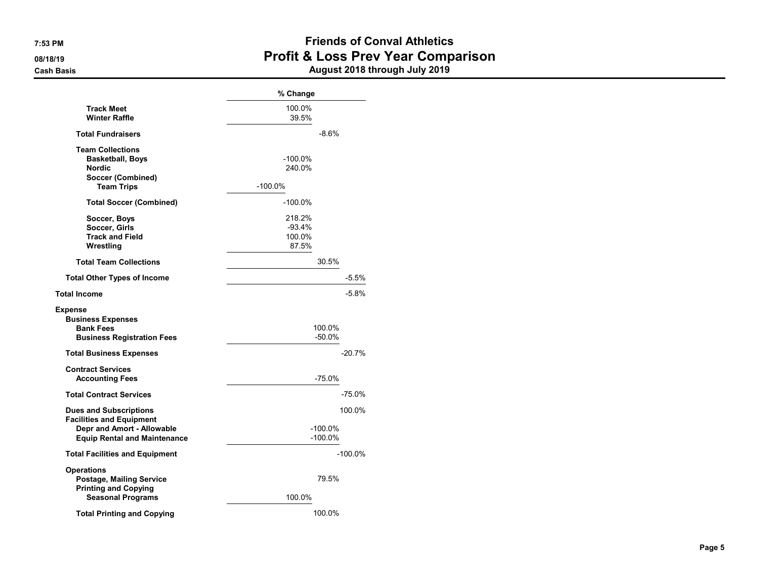|                                                                                                                                       | % Change                              |  |
|---------------------------------------------------------------------------------------------------------------------------------------|---------------------------------------|--|
| <b>Track Meet</b><br><b>Winter Raffle</b>                                                                                             | 100.0%<br>39.5%                       |  |
| <b>Total Fundraisers</b>                                                                                                              | $-8.6%$                               |  |
| <b>Team Collections</b><br><b>Basketball, Boys</b><br><b>Nordic</b><br>Soccer (Combined)<br><b>Team Trips</b>                         | $-100.0\%$<br>240.0%<br>$-100.0%$     |  |
| <b>Total Soccer (Combined)</b>                                                                                                        | $-100.0\%$                            |  |
| Soccer, Boys<br>Soccer, Girls<br><b>Track and Field</b><br>Wrestling                                                                  | 218.2%<br>$-93.4%$<br>100.0%<br>87.5% |  |
| <b>Total Team Collections</b>                                                                                                         | 30.5%                                 |  |
| <b>Total Other Types of Income</b>                                                                                                    | $-5.5%$                               |  |
| <b>Total Income</b>                                                                                                                   | $-5.8%$                               |  |
| <b>Expense</b><br><b>Business Expenses</b><br><b>Bank Fees</b><br><b>Business Registration Fees</b>                                   | 100.0%<br>$-50.0\%$                   |  |
| <b>Total Business Expenses</b>                                                                                                        | $-20.7%$                              |  |
| <b>Contract Services</b><br><b>Accounting Fees</b>                                                                                    | $-75.0%$                              |  |
| <b>Total Contract Services</b>                                                                                                        | $-75.0%$                              |  |
| <b>Dues and Subscriptions</b><br><b>Facilities and Equipment</b><br>Depr and Amort - Allowable<br><b>Equip Rental and Maintenance</b> | 100.0%<br>$-100.0\%$<br>$-100.0%$     |  |
| <b>Total Facilities and Equipment</b>                                                                                                 | $-100.0\%$                            |  |
| <b>Operations</b><br><b>Postage, Mailing Service</b><br><b>Printing and Copying</b><br><b>Seasonal Programs</b>                       | 79.5%<br>100.0%                       |  |
| <b>Total Printing and Copying</b>                                                                                                     | 100.0%                                |  |